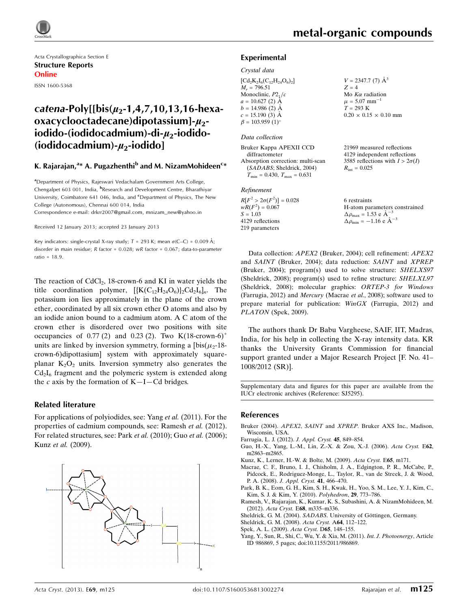

Acta Crystallographica Section E Structure Reports Online ISSN 1600-5368

# catena-Poly[[bis( $\mu_2$ -1,4,7,10,13,16-hexa $oxacvelooctadecane) dioota*ss*iuml-*u*2$ iodido-(iodidocadmium)-di- $\mu_2$ -iodido-(iodidocadmium)- $\mu_2$ -iodido]

#### K. Rajarajan,<sup>a</sup>\* A. Pugazhenthi<sup>b</sup> and M. NizamMohideen<sup>c</sup>\*

<sup>a</sup>Department of Physics, Rajeswari Vedachalam Government Arts College, Chengalpet 603 001, India, <sup>b</sup>Research and Development Centre, Bharathiyar University, Coimbatore 641 046, India, and <sup>c</sup>Department of Physics, The New College (Autonomous), Chennai 600 014, India Correspondence e-mail: [drkrr2007@gmail.com, mnizam\\_new@yahoo.in](https://scripts.iucr.org/cgi-bin/cr.cgi?rm=pdfbb&cnor=sj5295&bbid=BB11)

Received 12 January 2013; accepted 23 January 2013

Key indicators: single-crystal X-ray study;  $T = 293$  K; mean  $\sigma$ (C–C) = 0.009 Å; disorder in main residue; R factor = 0.028; wR factor = 0.067; data-to-parameter ratio = 18.9.

The reaction of  $CdCl<sub>2</sub>$ , 18-crown-6 and KI in water yields the title coordination polymer,  $[\{K(C_{12}H_{24}O_6)\} _2Cd_2I_6]_n$ . The potassium ion lies approximately in the plane of the crown ether, coordinated by all six crown ether O atoms and also by an iodide anion bound to a cadmium atom. A C atom of the crown ether is disordered over two positions with site occupancies of  $0.77$  (2) and  $0.23$  (2). Two K(18-crown-6)<sup>+</sup> units are linked by inversion symmetry, forming a  $[bis(\mu_2-18$ crown-6)dipottasium] system with approximately squareplanar  $K_2O_2$  units. Inversion symmetry also generates the  $Cd<sub>2</sub>I<sub>6</sub>$  fragment and the polymeric system is extended along the c axis by the formation of  $K-I- Cd$  bridges.

#### Related literature

For applications of polyiodides, see: Yang et al. (2011). For the properties of cadmium compounds, see: Ramesh et al. (2012). For related structures, see: Park et al. (2010); Guo et al. (2006); Kunz et al. (2009).



#### Experimental

#### Crystal data

| $\left[{\rm Cd_2K_2I_6(C_{12}H_{24}O_6)_2}\right]$ |  |
|----------------------------------------------------|--|
| $M_r = 796.51$                                     |  |
| Monoclinic, $P2_1/c$                               |  |
| $a = 10.627(2)$ Å                                  |  |
| $b = 14.986$ (2) $\AA$                             |  |
| $c = 15.190$ (3) Å                                 |  |
| $\beta = 103.959(1)$ °                             |  |

#### Data collection

Bruker Kappa APEXII CCD diffractometer Absorption correction: multi-scan (SADABS; Sheldrick, 2004)  $T_{\text{min}} = 0.430, T_{\text{max}} = 0.631$ 

#### Refinement

 $R[F^2 > 2\sigma(F^2)] = 0.028$  $wR(F^2) = 0.067$  $S = 1.03$ 4129 reflections 219 parameters

 $V = 2347.7$  (7)  $\AA^3$  $Z = 4$ Mo  $K\alpha$  radiation  $\mu = 5.07$  mm<sup>-1</sup>  $T = 293 K$  $0.20 \times 0.15 \times 0.10$  mm

21969 measured reflections 4129 independent reflections 3585 reflections with  $I > 2\sigma(I)$  $R_{\text{int}} = 0.025$ 

6 restraints H-atom parameters constrained  $\Delta \rho_{\text{max}} = 1.53 \text{ e A}^{-3}$  $\Delta \rho_{\text{min}} = -1.16 \text{ e } \text{\AA}^{-3}$ 

Data collection: APEX2 (Bruker, 2004); cell refinement: APEX2 and SAINT (Bruker, 2004); data reduction: SAINT and XPREP (Bruker, 2004); program(s) used to solve structure: SHELXS97 (Sheldrick, 2008); program(s) used to refine structure: SHELXL97 (Sheldrick, 2008); molecular graphics: ORTEP-3 for Windows (Farrugia, 2012) and Mercury (Macrae et al., 2008); software used to prepare material for publication:  $W$ in $GX$  (Farrugia, 2012) and PLATON (Spek, 2009).

The authors thank Dr Babu Vargheese, SAIF, IIT, Madras, India, for his help in collecting the X-ray intensity data. KR thanks the University Grants Commission for financial support granted under a Major Research Project [F. No. 41– 1008/2012 (SR)].

Supplementary data and figures for this paper are available from the IUCr electronic archives (Reference: SJ5295).

#### References

- Bruker (2004). APEX2, SAINT and XPREP[. Bruker AXS Inc., Madison,](https://scripts.iucr.org/cgi-bin/cr.cgi?rm=pdfbb&cnor=sj5295&bbid=BB1) [Wisconsin, USA.](https://scripts.iucr.org/cgi-bin/cr.cgi?rm=pdfbb&cnor=sj5295&bbid=BB1)
- [Farrugia, L. J. \(2012\).](https://scripts.iucr.org/cgi-bin/cr.cgi?rm=pdfbb&cnor=sj5295&bbid=BB2) J. Appl. Cryst. 45, 849–854.
- [Guo, H.-X., Yang, L.-M., Lin, Z.-X. & Zou, X.-J. \(2006\).](https://scripts.iucr.org/cgi-bin/cr.cgi?rm=pdfbb&cnor=sj5295&bbid=BB3) Acta Cryst. E62, [m2863–m2865.](https://scripts.iucr.org/cgi-bin/cr.cgi?rm=pdfbb&cnor=sj5295&bbid=BB3)
- [Kunz, K., Lerner, H.-W. & Bolte, M. \(2009\).](https://scripts.iucr.org/cgi-bin/cr.cgi?rm=pdfbb&cnor=sj5295&bbid=BB4) Acta Cryst. E65, m171.
- [Macrae, C. F., Bruno, I. J., Chisholm, J. A., Edgington, P. R., McCabe, P.,](https://scripts.iucr.org/cgi-bin/cr.cgi?rm=pdfbb&cnor=sj5295&bbid=BB5) [Pidcock, E., Rodriguez-Monge, L., Taylor, R., van de Streek, J. & Wood,](https://scripts.iucr.org/cgi-bin/cr.cgi?rm=pdfbb&cnor=sj5295&bbid=BB5) P. A. (2008). [J. Appl. Cryst.](https://scripts.iucr.org/cgi-bin/cr.cgi?rm=pdfbb&cnor=sj5295&bbid=BB5) 41, 466–470.
- [Park, B. K., Eom, G. H., Kim, S. H., Kwak, H., Yoo, S. M., Lee, Y. J., Kim, C.,](https://scripts.iucr.org/cgi-bin/cr.cgi?rm=pdfbb&cnor=sj5295&bbid=BB6) [Kim, S. J. & Kim, Y. \(2010\).](https://scripts.iucr.org/cgi-bin/cr.cgi?rm=pdfbb&cnor=sj5295&bbid=BB6) Polyhedron, 29, 773–786.
- [Ramesh, V., Rajarajan, K., Kumar, K. S., Subashini, A. & NizamMohideen, M.](https://scripts.iucr.org/cgi-bin/cr.cgi?rm=pdfbb&cnor=sj5295&bbid=BB7) (2012). Acta Cryst. E68[, m335–m336.](https://scripts.iucr.org/cgi-bin/cr.cgi?rm=pdfbb&cnor=sj5295&bbid=BB7)

Sheldrick, G. M. (2004). SADABS. University of Göttingen, Germany.

- [Sheldrick, G. M. \(2008\).](https://scripts.iucr.org/cgi-bin/cr.cgi?rm=pdfbb&cnor=sj5295&bbid=BB9) Acta Cryst. A64, 112–122.
- [Spek, A. L. \(2009\).](https://scripts.iucr.org/cgi-bin/cr.cgi?rm=pdfbb&cnor=sj5295&bbid=BB10) Acta Cryst. D65, 148–155.

[Yang, Y., Sun, R., Shi, C., Wu, Y. & Xia, M. \(2011\).](https://scripts.iucr.org/cgi-bin/cr.cgi?rm=pdfbb&cnor=sj5295&bbid=BB11) Int. J. Photoenergy, Article [ID 986869, 5 pages; doi:10.1155/2011/986869.](https://scripts.iucr.org/cgi-bin/cr.cgi?rm=pdfbb&cnor=sj5295&bbid=BB11)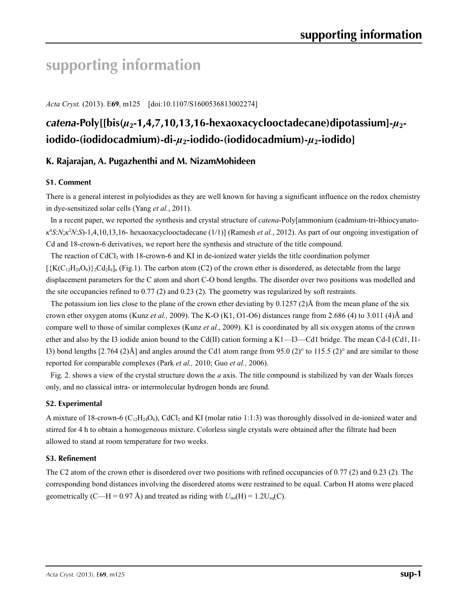# **supporting information**

*Acta Cryst.* (2013). E**69**, m125 [doi:10.1107/S1600536813002274]

# *catena***-Poly[[bis(***µ***2-1,4,7,10,13,16-hexaoxacyclooctadecane)dipotassium]-***µ***2 iodido-(iodidocadmium)-di-***µ***2-iodido-(iodidocadmium)-***µ***2-iodido]**

### **K. Rajarajan, A. Pugazhenthi and M. NizamMohideen**

#### **S1. Comment**

There is a general interest in polyiodides as they are well known for having a significant influence on the redox chemistry in dye-sensitized solar cells (Yang *et al.*, 2011).

In a recent paper, we reported the synthesis and crystal structure of *catena*-Poly[ammonium (cadmium-tri-lthiocyanato*κ*4 *S*:*N*;*κ*<sup>2</sup> *N*:*S*)-1,4,10,13,16- hexaoxacyclooctadecane (1/1)] (Ramesh *et al.*, 2012). As part of our ongoing investigation of Cd and 18-crown-6 derivatives, we report here the synthesis and structure of the title compound.

The reaction of  $CdCl<sub>2</sub>$  with 18-crown-6 and KI in de-ionized water yields the title coordination polymer  $\left[\frac{K(C_{12}H_{24}O_6)}{2Cd_2I_6}\right]_n$  (Fig.1). The carbon atom (C2) of the crown ether is disordered, as detectable from the large displacement parameters for the C atom and short C-O bond lengths. The disorder over two positions was modelled and the site occupancies refined to 0.77 (2) and 0.23 (2). The geometry was regularized by soft restraints.

The potassium ion lies close to the plane of the crown ether deviating by 0.1257 (2)Å from the mean plane of the six crown ether oxygen atoms (Kunz *et al.,* 2009). The K-O (K1, O1-O6) distances range from 2.686 (4) to 3.011 (4)Å and compare well to those of similar complexes (Kunz *et al.*, 2009). K1 is coordinated by all six oxygen atoms of the crown ether and also by the I3 iodide anion bound to the Cd(II) cation forming a K1—I3—Cd1 bridge. The mean Cd-I (Cd1, I1- I3) bond lengths  $[2.764 (2)$ Å] and angles around the Cd1 atom range from 95.0 (2)° to 115.5 (2)° and are similar to those reported for comparable complexes (Park *et al.,* 2010; Guo *et al.,* 2006).

Fig. 2. shows a view of the crystal structure down the *a* axis. The title compound is stabilized by van der Waals forces only, and no classical intra- or intermolecular hydrogen bonds are found.

#### **S2. Experimental**

A mixture of 18-crown-6 ( $C_{12}H_{24}O_6$ ), CdCl<sub>2</sub> and KI (molar ratio 1:1:3) was thoroughly dissolved in de-ionized water and stirred for 4 h to obtain a homogeneous mixture. Colorless single crystals were obtained after the filtrate had been allowed to stand at room temperature for two weeks.

#### **S3. Refinement**

The C2 atom of the crown ether is disordered over two positions with refined occupancies of 0.77 (2) and 0.23 (2). The corresponding bond distances involving the disordered atoms were restrained to be equal. Carbon H atoms were placed geometrically (C—H = 0.97 Å) and treated as riding with  $U_{iso}(H) = 1.2U_{eq}(C)$ .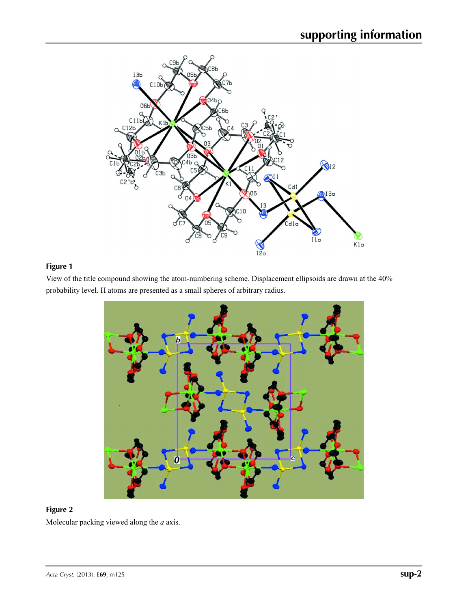

# **Figure 1**

View of the title compound showing the atom-numbering scheme. Displacement ellipsoids are drawn at the 40% probability level. H atoms are presented as a small spheres of arbitrary radius.



### **Figure 2**

Molecular packing viewed along the *a* axis.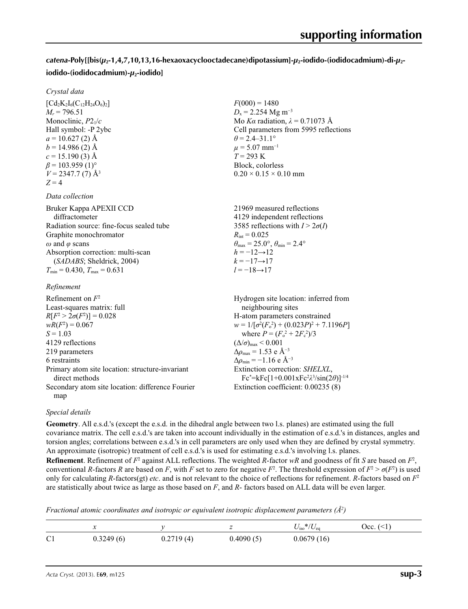# *catena***-Poly[[bis(***µ***2-1,4,7,10,13,16-hexaoxacyclooctadecane)dipotassium]-***µ***2-iodido-(iodidocadmium)-di-***µ***2 iodido-(iodidocadmium)-***µ***2-iodido]**

 $F(000) = 1480$  $D_x = 2.254 \text{ Mg m}^{-3}$ 

 $\theta$  = 2.4–31.1°  $\mu$  = 5.07 mm<sup>-1</sup> *T* = 293 K Block, colorless  $0.20 \times 0.15 \times 0.10$  mm

Mo *Kα* radiation,  $\lambda = 0.71073$  Å Cell parameters from 5995 reflections

#### *Crystal data*

 $[Cd<sub>2</sub>K<sub>2</sub>I<sub>6</sub>(C<sub>12</sub>H<sub>24</sub>O<sub>6</sub>)<sub>2</sub>]$  $M_r = 796.51$ Monoclinic, *P*21/*c* Hall symbol: -P 2ybc  $a = 10.627(2)$  Å  $b = 14.986(2)$  Å  $c = 15.190(3)$  Å  $\beta$  = 103.959 (1)<sup>o</sup>  $V = 2347.7$  (7)  $\AA$ <sup>3</sup>  $Z = 4$ 

#### *Data collection*

| Bruker Kappa APEXII CCD                            | 21969 measured reflections                                              |
|----------------------------------------------------|-------------------------------------------------------------------------|
| diffractometer                                     | 4129 independent reflections                                            |
| Radiation source: fine-focus sealed tube           | 3585 reflections with $I > 2\sigma(I)$                                  |
| Graphite monochromator                             | $R_{\text{int}} = 0.025$                                                |
| $\omega$ and $\varphi$ scans                       | $\theta_{\text{max}} = 25.0^{\circ}, \theta_{\text{min}} = 2.4^{\circ}$ |
| Absorption correction: multi-scan                  | $h = -12 \rightarrow 12$                                                |
| (SADABS; Sheldrick, 2004)                          | $k = -17 \rightarrow 17$                                                |
| $T_{\text{min}}$ = 0.430, $T_{\text{max}}$ = 0.631 | $l = -18 \rightarrow 17$                                                |
|                                                    |                                                                         |

#### *Refinement*

| Refinement on $F^2$                                               | Hydrogen site location: inferred from                                                     |
|-------------------------------------------------------------------|-------------------------------------------------------------------------------------------|
| Least-squares matrix: full                                        | neighbouring sites                                                                        |
| $R[F^2 > 2\sigma(F^2)] = 0.028$                                   | H-atom parameters constrained                                                             |
| $wR(F^2) = 0.067$                                                 | $w = 1/[\sigma^2(F_o^2) + (0.023P)^2 + 7.1196P]$                                          |
| $S = 1.03$                                                        | where $P = (F_o^2 + 2F_c^2)/3$                                                            |
| 4129 reflections                                                  | $(\Delta/\sigma)_{\text{max}}$ < 0.001                                                    |
| 219 parameters                                                    | $\Delta\rho_{\text{max}} = 1.53 \text{ e } \text{\AA}^{-3}$                               |
| 6 restraints                                                      | $\Delta\rho_{\rm min} = -1.16$ e Å <sup>-3</sup>                                          |
| Primary atom site location: structure-invariant<br>direct methods | Extinction correction: SHELXL,<br>$Fc^* = kFc[1+0.001xFc^2\lambda^3/sin(2\theta)]^{-1/4}$ |
| Secondary atom site location: difference Fourier                  | Extinction coefficient: 0.00235 (8)                                                       |
| map                                                               |                                                                                           |

#### *Special details*

**Geometry**. All e.s.d.'s (except the e.s.d. in the dihedral angle between two l.s. planes) are estimated using the full covariance matrix. The cell e.s.d.'s are taken into account individually in the estimation of e.s.d.'s in distances, angles and torsion angles; correlations between e.s.d.'s in cell parameters are only used when they are defined by crystal symmetry. An approximate (isotropic) treatment of cell e.s.d.'s is used for estimating e.s.d.'s involving l.s. planes.

**Refinement**. Refinement of  $F^2$  against ALL reflections. The weighted *R*-factor  $wR$  and goodness of fit *S* are based on  $F^2$ , conventional *R*-factors *R* are based on *F*, with *F* set to zero for negative  $F^2$ . The threshold expression of  $F^2 > \sigma(F^2)$  is used only for calculating *R*-factors(gt) *etc*. and is not relevant to the choice of reflections for refinement. *R*-factors based on *F*<sup>2</sup> are statistically about twice as large as those based on *F*, and *R*- factors based on ALL data will be even larger.

*Fractional atomic coordinates and isotropic or equivalent isotropic displacement parameters (Å2 )*

|                | $\sim$    |           | -         | $U_{\rm iso}*/U_{\rm eq}$ | $Occ. (\leq 1)$ |
|----------------|-----------|-----------|-----------|---------------------------|-----------------|
| C <sub>1</sub> | 0.3249(6) | 0.2719(4) | 0.4090(5) | 0.0679(16)                |                 |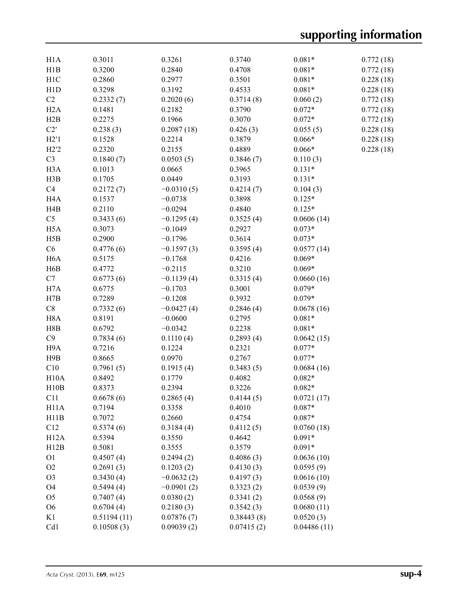| H1A               | 0.3011      | 0.3261       | 0.3740     | $0.081*$    | 0.772(18) |
|-------------------|-------------|--------------|------------|-------------|-----------|
| H1B               | 0.3200      | 0.2840       | 0.4708     | $0.081*$    | 0.772(18) |
| H1C               | 0.2860      | 0.2977       | 0.3501     | $0.081*$    | 0.228(18) |
| H1D               | 0.3298      | 0.3192       | 0.4533     | $0.081*$    | 0.228(18) |
| C2                | 0.2332(7)   | 0.2020(6)    | 0.3714(8)  | 0.060(2)    | 0.772(18) |
| H2A               | 0.1481      | 0.2182       | 0.3790     | $0.072*$    | 0.772(18) |
| H2B               | 0.2275      | 0.1966       | 0.3070     | $0.072*$    | 0.772(18) |
| C2'               | 0.238(3)    | 0.2087(18)   | 0.426(3)   | 0.055(5)    | 0.228(18) |
| H2'1              | 0.1528      | 0.2214       | 0.3879     | $0.066*$    | 0.228(18) |
| H2'2              | 0.2320      | 0.2155       | 0.4889     | $0.066*$    | 0.228(18) |
| C <sub>3</sub>    | 0.1840(7)   | 0.0503(5)    | 0.3846(7)  | 0.110(3)    |           |
| H <sub>3</sub> A  | 0.1013      | 0.0665       | 0.3965     | $0.131*$    |           |
| H3B               | 0.1705      | 0.0449       | 0.3193     | $0.131*$    |           |
| C4                | 0.2172(7)   | $-0.0310(5)$ | 0.4214(7)  | 0.104(3)    |           |
| H <sub>4</sub> A  | 0.1537      | $-0.0738$    | 0.3898     | $0.125*$    |           |
| H <sub>4</sub> B  | 0.2110      | $-0.0294$    | 0.4840     | $0.125*$    |           |
| C <sub>5</sub>    | 0.3433(6)   | $-0.1295(4)$ | 0.3525(4)  | 0.0606(14)  |           |
| H <sub>5</sub> A  | 0.3073      | $-0.1049$    | 0.2927     | $0.073*$    |           |
| H5B               | 0.2900      | $-0.1796$    | 0.3614     | $0.073*$    |           |
| C6                | 0.4776(6)   | $-0.1597(3)$ | 0.3595(4)  | 0.0577(14)  |           |
| H <sub>6</sub> A  | 0.5175      | $-0.1768$    | 0.4216     | $0.069*$    |           |
| H6B               | 0.4772      | $-0.2115$    | 0.3210     | $0.069*$    |           |
| C7                | 0.6773(6)   | $-0.1139(4)$ | 0.3315(4)  | 0.0660(16)  |           |
| H7A               | 0.6775      | $-0.1703$    | 0.3001     | $0.079*$    |           |
| H7B               | 0.7289      | $-0.1208$    | 0.3932     | $0.079*$    |           |
| $\mbox{C}8$       | 0.7332(6)   | $-0.0427(4)$ | 0.2846(4)  | 0.0678(16)  |           |
| H <sub>8</sub> A  | 0.8191      | $-0.0600$    | 0.2795     | $0.081*$    |           |
| H8B               | 0.6792      | $-0.0342$    | 0.2238     | $0.081*$    |           |
| C9                | 0.7834(6)   | 0.1110(4)    | 0.2893(4)  | 0.0642(15)  |           |
| H9A               | 0.7216      | 0.1224       | 0.2321     | $0.077*$    |           |
| H9B               | 0.8665      | 0.0970       | 0.2767     | $0.077*$    |           |
| C10               | 0.7961(5)   | 0.1915(4)    | 0.3483(5)  | 0.0684(16)  |           |
| H10A              | 0.8492      | 0.1779       | 0.4082     | $0.082*$    |           |
| H10B              | 0.8373      | 0.2394       | 0.3226     | $0.082*$    |           |
| C <sub>11</sub>   | 0.6678(6)   | 0.2865(4)    | 0.4144(5)  | 0.0721(17)  |           |
| H <sub>11</sub> A | 0.7194      | 0.3358       | 0.4010     | $0.087*$    |           |
| H11B              | 0.7072      | 0.2660       | 0.4754     | $0.087*$    |           |
| C12               | 0.5374(6)   | 0.3184(4)    | 0.4112(5)  | 0.0760(18)  |           |
| H12A              | 0.5394      | 0.3550       | 0.4642     | $0.091*$    |           |
| H12B              | 0.5081      | 0.3555       | 0.3579     | $0.091*$    |           |
| O <sub>1</sub>    | 0.4507(4)   | 0.2494(2)    | 0.4086(3)  | 0.0636(10)  |           |
| O2                | 0.2691(3)   | 0.1203(2)    | 0.4130(3)  | 0.0595(9)   |           |
| O <sub>3</sub>    | 0.3430(4)   | $-0.0632(2)$ | 0.4197(3)  | 0.0616(10)  |           |
| O <sub>4</sub>    | 0.5494(4)   | $-0.0901(2)$ | 0.3323(2)  | 0.0539(9)   |           |
| O <sub>5</sub>    | 0.7407(4)   | 0.0380(2)    | 0.3341(2)  | 0.0568(9)   |           |
| O <sub>6</sub>    | 0.6704(4)   | 0.2180(3)    | 0.3542(3)  | 0.0680(11)  |           |
| K1                | 0.51194(11) | 0.07876(7)   | 0.38443(8) | 0.0520(3)   |           |
| Cd1               | 0.10508(3)  | 0.09039(2)   | 0.07415(2) | 0.04486(11) |           |
|                   |             |              |            |             |           |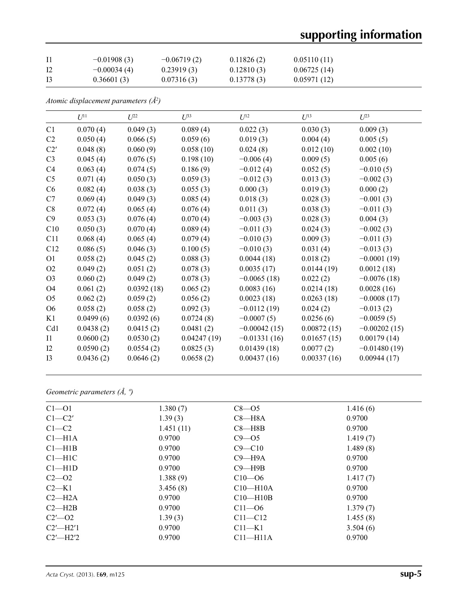# **supporting information**

|    | $-0.01908(3)$ | $-0.06719(2)$ | 0.11826(2) | 0.05110(11) |
|----|---------------|---------------|------------|-------------|
| 12 | $-0.00034(4)$ | 0.23919(3)    | 0.12810(3) | 0.06725(14) |
| 13 | 0.36601(3)    | 0.07316(3)    | 0.13778(3) | 0.05971(12) |

*Atomic displacement parameters (Å2 )*

|                | $U^{11}$  | $L^{22}$   | $U^{33}$    | $U^{12}$       | $U^{13}$    | $U^{23}$       |
|----------------|-----------|------------|-------------|----------------|-------------|----------------|
| C1             | 0.070(4)  | 0.049(3)   | 0.089(4)    | 0.022(3)       | 0.030(3)    | 0.009(3)       |
| C <sub>2</sub> | 0.050(4)  | 0.066(5)   | 0.059(6)    | 0.019(3)       | 0.004(4)    | 0.005(5)       |
| C2'            | 0.048(8)  | 0.060(9)   | 0.058(10)   | 0.024(8)       | 0.012(10)   | 0.002(10)      |
| C <sub>3</sub> | 0.045(4)  | 0.076(5)   | 0.198(10)   | $-0.006(4)$    | 0.009(5)    | 0.005(6)       |
| C <sub>4</sub> | 0.063(4)  | 0.074(5)   | 0.186(9)    | $-0.012(4)$    | 0.052(5)    | $-0.010(5)$    |
| C <sub>5</sub> | 0.071(4)  | 0.050(3)   | 0.059(3)    | $-0.012(3)$    | 0.013(3)    | $-0.002(3)$    |
| C6             | 0.082(4)  | 0.038(3)   | 0.055(3)    | 0.000(3)       | 0.019(3)    | 0.000(2)       |
| C7             | 0.069(4)  | 0.049(3)   | 0.085(4)    | 0.018(3)       | 0.028(3)    | $-0.001(3)$    |
| C8             | 0.072(4)  | 0.065(4)   | 0.076(4)    | 0.011(3)       | 0.038(3)    | $-0.011(3)$    |
| C9             | 0.053(3)  | 0.076(4)   | 0.070(4)    | $-0.003(3)$    | 0.028(3)    | 0.004(3)       |
| C10            | 0.050(3)  | 0.070(4)   | 0.089(4)    | $-0.011(3)$    | 0.024(3)    | $-0.002(3)$    |
| C11            | 0.068(4)  | 0.065(4)   | 0.079(4)    | $-0.010(3)$    | 0.009(3)    | $-0.011(3)$    |
| C12            | 0.086(5)  | 0.046(3)   | 0.100(5)    | $-0.010(3)$    | 0.031(4)    | $-0.013(3)$    |
| O <sub>1</sub> | 0.058(2)  | 0.045(2)   | 0.088(3)    | 0.0044(18)     | 0.018(2)    | $-0.0001(19)$  |
| O <sub>2</sub> | 0.049(2)  | 0.051(2)   | 0.078(3)    | 0.0035(17)     | 0.0144(19)  | 0.0012(18)     |
| O <sub>3</sub> | 0.060(2)  | 0.049(2)   | 0.078(3)    | $-0.0065(18)$  | 0.022(2)    | $-0.0076(18)$  |
| O <sub>4</sub> | 0.061(2)  | 0.0392(18) | 0.065(2)    | 0.0083(16)     | 0.0214(18)  | 0.0028(16)     |
| O <sub>5</sub> | 0.062(2)  | 0.059(2)   | 0.056(2)    | 0.0023(18)     | 0.0263(18)  | $-0.0008(17)$  |
| O <sub>6</sub> | 0.058(2)  | 0.058(2)   | 0.092(3)    | $-0.0112(19)$  | 0.024(2)    | $-0.013(2)$    |
| K1             | 0.0499(6) | 0.0392(6)  | 0.0724(8)   | $-0.0007(5)$   | 0.0256(6)   | $-0.0059(5)$   |
| Cd1            | 0.0438(2) | 0.0415(2)  | 0.0481(2)   | $-0.00042(15)$ | 0.00872(15) | $-0.00202(15)$ |
| $_{\rm II}$    | 0.0600(2) | 0.0530(2)  | 0.04247(19) | $-0.01331(16)$ | 0.01657(15) | 0.00179(14)    |
| 12             | 0.0590(2) | 0.0554(2)  | 0.0825(3)   | 0.01439(18)    | 0.0077(2)   | $-0.01480(19)$ |
| I3             | 0.0436(2) | 0.0646(2)  | 0.0658(2)   | 0.00437(16)    | 0.00337(16) | 0.00944(17)    |

# *Geometric parameters (Å, º)*

| $Cl - O1$          | 1.380(7)  | $C8 - 05$    | 1.416(6) |
|--------------------|-----------|--------------|----------|
| $C1-C2'$           | 1.39(3)   | $C8 - H8A$   | 0.9700   |
| $C1-C2$            | 1.451(11) | $C8 - H8B$   | 0.9700   |
| Cl <sub>–H1A</sub> | 0.9700    | $C9 - 05$    | 1.419(7) |
| $Cl$ —H1B          | 0.9700    | $C9 - C10$   | 1.489(8) |
| $Cl-H1C$           | 0.9700    | $C9 - H9A$   | 0.9700   |
| $Cl-H1D$           | 0.9700    | $C9 - H9B$   | 0.9700   |
| $C2 - 02$          | 1.388(9)  | $C10 - 06$   | 1.417(7) |
| $C2-K1$            | 3.456(8)  | $C10-H10A$   | 0.9700   |
| $C2-H2A$           | 0.9700    | $C10-H10B$   | 0.9700   |
| $C2 - H2B$         | 0.9700    | $C11 - 06$   | 1.379(7) |
| $C2'$ - 02         | 1.39(3)   | $C11 - C12$  | 1.455(8) |
| $C2'$ —H2'1        | 0.9700    | $C11-K1$     | 3.504(6) |
| $C2'$ —H2'2        | 0.9700    | $C11 - H11A$ | 0.9700   |
|                    |           |              |          |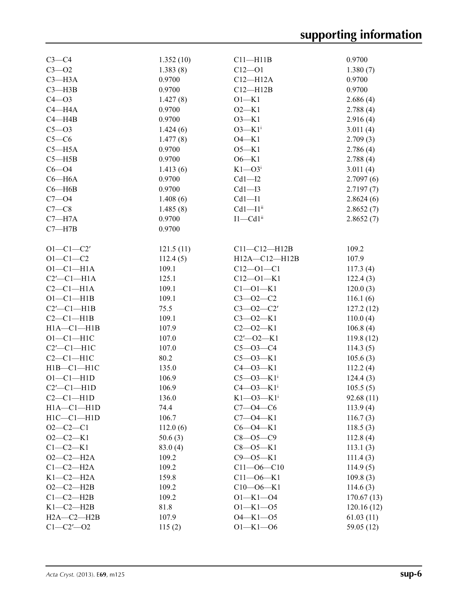| $C3-C4$              | 1.352(10) | $C11 - H11B$                | 0.9700     |
|----------------------|-----------|-----------------------------|------------|
| $C3 - 02$            | 1.383(8)  | $C12 - O1$                  | 1.380(7)   |
| $C3 - H3A$           | 0.9700    | $C12 - H12A$                | 0.9700     |
| $C3 - H3B$           | 0.9700    | $C12 - H12B$                | 0.9700     |
| $C4 - O3$            | 1.427(8)  | $O1-K1$                     | 2.686(4)   |
| $C4 - H4A$           | 0.9700    | $O2-K1$                     | 2.788(4)   |
| $C4 - H4B$           | 0.9700    | $O3-K1$                     | 2.916(4)   |
| $C5 - O3$            | 1.424(6)  | $O3-K1i$                    | 3.011(4)   |
| $C5-C6$              | 1.477(8)  | $O4-K1$                     | 2.709(3)   |
| $C5 - H5A$           | 0.9700    | $O5-K1$                     | 2.786(4)   |
| $C5 - H5B$           | 0.9700    | $O6-K1$                     | 2.788(4)   |
| $C6 - O4$            | 1.413(6)  | $K1 - O3$                   | 3.011(4)   |
| $C6 - H6A$           | 0.9700    | $Cd1 - I2$                  | 2.7097(6)  |
| $C6 - H6B$           | 0.9700    | $Cd1 - I3$                  | 2.7197(7)  |
| $C7 - 04$            | 1.408(6)  | $Cd1 - I1$                  | 2.8624(6)  |
| $C7-C8$              | 1.485(8)  | $Cd1 - I1$ <sup>ii</sup>    | 2.8652(7)  |
| $C7 - H7A$           | 0.9700    | $I1 - Cd1ii$                | 2.8652(7)  |
| $C7 - H7B$           | 0.9700    |                             |            |
|                      |           |                             |            |
| $O1 - C1 - C2'$      |           | $C11 - C12 - H12B$          | 109.2      |
| $O1 - C1 - C2$       | 121.5(11) | H12A-C12-H12B               | 107.9      |
|                      | 112.4(5)  | $C12 - O1 - C1$             |            |
| $O1-C1-H1A$          | 109.1     |                             | 117.3(4)   |
| $C2'$ - $C1$ - $H1A$ | 125.1     | $C12 - 01 - K1$             | 122.4(3)   |
| $C2-C1-H1A$          | 109.1     | $C1 - 01 - K1$              | 120.0(3)   |
| $O1-C1-H1B$          | 109.1     | $C3 - 02 - C2$              | 116.1(6)   |
| $C2'$ - $C1$ - $H1B$ | 75.5      | $C3 - 02 - C2'$             | 127.2(12)  |
| $C2-C1-H1B$          | 109.1     | $C3 - 02 - K1$              | 110.0(4)   |
| $H1A - C1 - H1B$     | 107.9     | $C2 - 02 - K1$              | 106.8(4)   |
| $O1-C1-H1C$          | 107.0     | $C2'$ - $O2$ - K1           | 119.8(12)  |
| $C2'$ - $C1$ - $H1C$ | 107.0     | $C5 - O3 - C4$              | 114.3(5)   |
| $C2-C1-H1C$          | 80.2      | $C5 - O3 - K1$              | 105.6(3)   |
| $H1B - C1 - H1C$     | 135.0     | $C4 - O3 - K1$              | 112.2(4)   |
| $O1-C1-H1D$          | 106.9     | $C5 - O3 - K1$ <sup>i</sup> | 124.4(3)   |
| $C2'$ - $C1$ - $H1D$ | 106.9     | $C4 - O3 - K1$ <sup>i</sup> | 105.5(5)   |
| $C2-C1-H1D$          | 136.0     | $K1 - 03 - K1$ <sup>i</sup> | 92.68(11)  |
| $H1A - C1 - H1D$     | 74.4      | $C7 - 04 - C6$              | 113.9(4)   |
| $H1C - C1 - H1D$     | 106.7     | $C7 - 04 - K1$              | 116.7(3)   |
| $O2-C2-C1$           | 112.0(6)  | $C6 - O4 - K1$              | 118.5(3)   |
| $O2-C2-K1$           | 50.6(3)   | $C8 - 05 - C9$              | 112.8(4)   |
| $C1-C2-K1$           | 83.0(4)   | $C8 - O5 - K1$              | 113.1(3)   |
| $O2-C2-H2A$          | 109.2     | $C9 - 05 - K1$              | 111.4(3)   |
| $C1-C2-H2A$          | 109.2     | $C11 - 06 - C10$            | 114.9(5)   |
| $K1-C2-H2A$          | 159.8     | $C11 - 06 - K1$             | 109.8(3)   |
| $O2-C2-H2B$          | 109.2     | $C10 - 06 - K1$             | 114.6(3)   |
| $C1-C2-H2B$          | 109.2     | $O1 - K1 - O4$              | 170.67(13) |
| $K1-C2-H2B$          | 81.8      | $O1 - K1 - O5$              | 120.16(12) |
| $H2A - C2 - H2B$     | 107.9     | $O4 - K1 - O5$              | 61.03(11)  |
| $C1 - C2' - O2$      | 115(2)    | $O1 - K1 - O6$              | 59.05 (12) |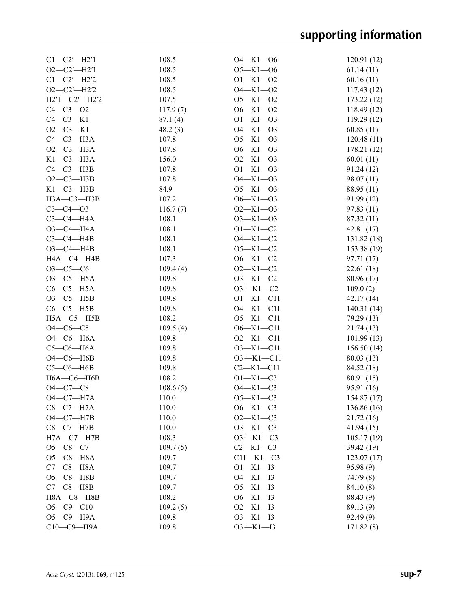| $Cl - C2' - H2'1$           | 108.5    | $O4 - K1 - O6$              | 120.91(12)  |
|-----------------------------|----------|-----------------------------|-------------|
| $O2-C2'$ -H2'1              | 108.5    | $O5 - K1 - O6$              | 61.14(11)   |
| $C1 - C2' - H2'2$           | 108.5    | $O1 - K1 - O2$              | 60.16(11)   |
| $O2-C2'$ -H2'2              | 108.5    | $O4 - K1 - O2$              | 117.43(12)  |
| H2'1-C2'-H2'2               | 107.5    | $O5 - K1 - O2$              | 173.22(12)  |
| $C4 - C3 - O2$              | 117.9(7) | $O6 - K1 - O2$              | 118.49(12)  |
| $C4-C3-K1$                  | 87.1(4)  | $O1 - K1 - O3$              | 119.29 (12) |
| $O2-C3-K1$                  | 48.2(3)  | $O4 - K1 - O3$              | 60.85(11)   |
| $C4-C3-H3A$                 | 107.8    | $O5 - K1 - O3$              | 120.48(11)  |
| $O2-C3-H3A$                 | 107.8    | $O6 - K1 - O3$              | 178.21 (12) |
| $K1-C3-H3A$                 | 156.0    | $O2 - K1 - O3$              | 60.01(11)   |
| $C4 - C3 - H3B$             | 107.8    | $O1 - K1 - O3$              | 91.24(12)   |
| $O2-C3-H3B$                 | 107.8    | $O4 - K1 - O3$              | 98.07 (11)  |
| $K1-C3-H3B$                 | 84.9     | $O5 - K1 - O3$              | 88.95 (11)  |
| НЗА-СЗ-НЗВ                  | 107.2    | $O6 - K1 - O3$ <sup>i</sup> | 91.99(12)   |
| $C3 - C4 - O3$              |          | $O2 - K1 - O3$              |             |
|                             | 116.7(7) |                             | 97.83(11)   |
| $C3-C4-H4A$                 | 108.1    | $O3 - K1 - O3$              | 87.32 (11)  |
| $O3 - C4 - H4A$             | 108.1    | $O1 - K1 - C2$              | 42.81(17)   |
| $C3-C4-H4B$                 | 108.1    | $O4 - K1 - C2$              | 131.82 (18) |
| $O3-C4-H4B$                 | 108.1    | $O5 - K1 - C2$              | 153.38 (19) |
| H4A-C4-H4B                  | 107.3    | $O6 - K1 - C2$              | 97.71 (17)  |
| $O3 - C5 - C6$              | 109.4(4) | $O2 - K1 - C2$              | 22.61 (18)  |
| $O3-C5-H5A$                 | 109.8    | $O3 - K1 - C2$              | 80.96 (17)  |
| $C6-C5-H5A$                 | 109.8    | $O3^i$ -K1-C2               | 109.0(2)    |
| $O3-C5-H5B$                 | 109.8    | $O1 - K1 - C11$             | 42.17(14)   |
| $C6-C5-H5B$                 | 109.8    | $O4 - K1 - C11$             | 140.31(14)  |
| $H5A - C5 - H5B$            | 108.2    | $O5 - K1 - C11$             | 79.29 (13)  |
| $O4 - CO - C5$              | 109.5(4) | $O6 - K1 - C11$             | 21.74(13)   |
| $O4$ $-C6$ $-H6A$           | 109.8    | $O2-K1-C11$                 | 101.99(13)  |
| $C5-C6-H6A$                 | 109.8    | $O3 - K1 - C11$             | 156.50(14)  |
| $O4$ $-C6$ $-H6B$           | 109.8    | $O3^i$ -K1-C11              | 80.03(13)   |
| $C5-C6-H6B$                 | 109.8    | $C2-K1-C11$                 | 84.52 (18)  |
| $H6A - C6 - H6B$            | 108.2    | $O1 - K1 - C3$              | 80.91 (15)  |
| $O4 - C7 - C8$              | 108.6(5) | $O4 - K1 - C3$              | 95.91 (16)  |
| $O4-C7-H7A$                 | 110.0    | $O5 - K1 - C3$              | 154.87 (17) |
| $C8-C7-H7A$                 | 110.0    | $O6 - K1 - C3$              | 136.86 (16) |
| $O4 - C7 - H7B$             | 110.0    | $O2-K1-C3$                  | 21.72 (16)  |
| $C8-C7-H7B$                 | 110.0    | $O3 - K1 - C3$              | 41.94(15)   |
| $H7A - C7 - H7B$            | 108.3    | $O3 - K1 - C3$              | 105.17(19)  |
| $O5 - C8 - C7$              | 109.7(5) | $C2-K1-C3$                  | 39.42 (19)  |
| $O5-C8-H8A$                 | 109.7    | $C11-K1-C3$                 | 123.07(17)  |
| $C7-C8-H8A$                 | 109.7    | $O1 - K1 - I3$              | 95.98 (9)   |
|                             |          | $O4 - K1 - I3$              |             |
| $O5-C8-H8B$<br>$C7-C8-$ H8B | 109.7    |                             | 74.79 (8)   |
|                             | 109.7    | $O5 - K1 - I3$              | 84.10(8)    |
| $H8A - C8 - H8B$            | 108.2    | $O6 - K1 - I3$              | 88.43 (9)   |
| $O5 - C9 - C10$             | 109.2(5) | $O2 - K1 - I3$              | 89.13 (9)   |
| О5-С9-Н9А                   | 109.8    | $O3 - K1 - I3$              | 92.49(9)    |
| С10-С9-Н9А                  | 109.8    | $O3^i$ -K1-I3               | 171.82(8)   |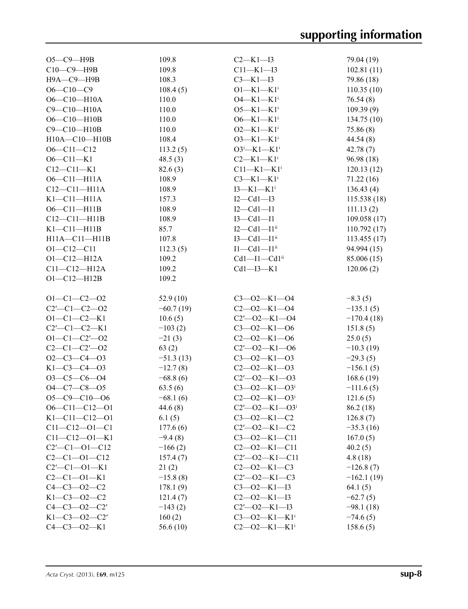| $O5-C9$ -H9B                | 109.8       | $C2-K1-I3$                       | 79.04 (19)   |
|-----------------------------|-------------|----------------------------------|--------------|
| C10-C9-H9B                  | 109.8       | $C11 - K1 - I3$                  | 102.81(11)   |
| Н9А-С9-Н9В                  | 108.3       | $C3 - K1 - I3$                   | 79.86 (18)   |
| $O6 - C10 - C9$             | 108.4(5)    | $O1 - K1 - K1$ <sup>i</sup>      | 110.35(10)   |
| $O6 - C10 - H10A$           | 110.0       | $O4 - K1 - K1$ <sup>i</sup>      | 76.54(8)     |
| C9-C10-H10A                 | 110.0       | $O5 - K1 - K1$ <sup>i</sup>      | 109.39(9)    |
| $O6 - C10 - H10B$           | 110.0       |                                  |              |
|                             |             | $O6 - K1 - K1$ <sup>i</sup>      | 134.75(10)   |
| C9-C10-H10B                 | 110.0       | $O2-K1-K1$ <sup>i</sup>          | 75.86(8)     |
| H10A-C10-H10B               | 108.4       | $O3-K1-K1$ <sup>i</sup>          | 44.54 (8)    |
| $O6 - Cl1 - Cl2$            | 113.2(5)    | $O3^i$ -K1-K1 <sup>i</sup>       | 42.78(7)     |
| $O6 - Cl1 - K1$             | 48.5(3)     | $C2-K1-K1$ <sup>i</sup>          | 96.98 (18)   |
| $C12 - C11 - K1$            | 82.6(3)     | $C11-K1-K1$ <sup>i</sup>         | 120.13(12)   |
| $O6 - Cl1 - H11A$           | 108.9       | $C3-K1-K1$ <sup>i</sup>          | 71.22(16)    |
| $C12-C11-H11A$              | 108.9       | $I3-K1-K1$ <sup>i</sup>          | 136.43(4)    |
| $K1-C11-H11A$               | 157.3       | $I2-Cd1-I3$                      | 115.538(18)  |
| $O6 - Cl1 - H11B$           | 108.9       | $I2-Cd1-I1$                      | 111.13(2)    |
| $C12-C11-H11B$              | 108.9       | $I3 - Cd1 - I1$                  | 109.058(17)  |
| $K1-C11-H11B$               | 85.7        | $I2-Cd1-I1ii$                    | 110.792(17)  |
| $H11A - C11 - H11B$         | 107.8       | $I3-Cd1-I1ii$                    | 113.455(17)  |
| $O1 - C12 - C11$            | 112.3(5)    | $I1-Cd1-I1ii$                    | 94.994 (15)  |
| $O1 - C12 - H12A$           | 109.2       | $Cd1 - I1 - Cd1ii$               | 85.006 (15)  |
| $C11 - C12 - H12A$          | 109.2       | $Cd1 - I3 - K1$                  | 120.06(2)    |
| $O1 - C12 - H12B$           | 109.2       |                                  |              |
|                             |             |                                  |              |
|                             |             |                                  |              |
| $O1 - C1 - C2 - O2$         | 52.9 $(10)$ | $C3 - 02 - K1 - 04$              | $-8.3(5)$    |
| $C2'$ - $C1$ - $C2$ - $O2$  | $-60.7(19)$ | $C2 - 02 - K1 - 04$              | $-135.1(5)$  |
| $O1 - C1 - C2 - K1$         | 10.6(5)     | $C2' - 02 - K1 - 04$             | $-170.4(18)$ |
| $C2'$ - $C1$ - $C2$ -K1     | $-103(2)$   | $C3 - 02 - K1 - 06$              | 151.8(5)     |
| $O1 - C1 - C2' - O2$        | $-21(3)$    | $C2 - 02 - K1 - 06$              | 25.0(5)      |
| $C2 - C1 - C2' - 02$        | 63(2)       | $C2'$ - $O2$ - K1 - $O6$         | $-10.3(19)$  |
| $O2-C3-C4-O3$               | $-51.3(13)$ | $C3 - 02 - K1 - 03$              | $-29.3(5)$   |
| $K1 - C3 - C4 - 03$         | $-12.7(8)$  | $C2 - 02 - K1 - 03$              | $-156.1(5)$  |
| $O3-C5-C6-O4$               | $-68.8(6)$  | $C2' - 02 - K1 - 03$             | 168.6(19)    |
| $O4 - C7 - C8 - O5$         | 63.5(6)     | $C3 - 02 - K1 - 03$              | $-111.6(5)$  |
| $O5-C9-C10-O6$              | $-68.1(6)$  | $C2 - 02 - K1 - 03$              | 121.6(5)     |
| $O6 - C11 - C12 - O1$       | 44.6(8)     | $C2'$ — $O2$ —K1— $O3i$          | 86.2 (18)    |
| $K1 - C11 - C12 - 01$       | 6.1(5)      | $C3 - 02 - K1 - C2$              | 126.8(7)     |
| $C11 - C12 - O1 - C1$       | 177.6(6)    | $C2'$ - $O2$ - $K1$ - $C2$       | $-35.3(16)$  |
| $C11 - C12 - O1 - K1$       | $-9.4(8)$   | $C3 - 02 - K1 - C11$             | 167.0(5)     |
| $C2'$ - $C1$ - $O1$ - $C12$ | $-166(2)$   | $C2 - 02 - K1 - C11$             | 40.2(5)      |
| $C2-C1-O1-C12$              | 157.4(7)    | $C2'$ - $O2$ - $K1$ - $C11$      | 4.8(18)      |
|                             |             | $C2 - 02 - K1 - C3$              |              |
| $C2'$ - $C1$ - $O1$ -K1     | 21(2)       |                                  | $-126.8(7)$  |
| $C2 - C1 - 01 - K1$         | $-15.8(8)$  | $C2'$ - $O2$ - $K1$ - $C3$       | $-162.1(19)$ |
| $C4 - C3 - O2 - C2$         | 178.1(9)    | $C3 - 02 - K1 - 13$              | 64.1(5)      |
| $K1 - C3 - 02 - C2$         | 121.4(7)    | $C2 - 02 - K1 - I3$              | $-62.7(5)$   |
| $C4 - C3 - O2 - C2'$        | $-143(2)$   | $C2'$ - $O2$ - $K1$ - $I3$       | $-98.1(18)$  |
| $K1-C3-O2-C2'$              | 160(2)      | $C3 - 02 - K1 - K1$ <sup>i</sup> | $-74.6(5)$   |
| $C4 - C3 - O2 - K1$         | 56.6 $(10)$ | $C2 - 02 - K1 - K1$ <sup>i</sup> | 158.6(5)     |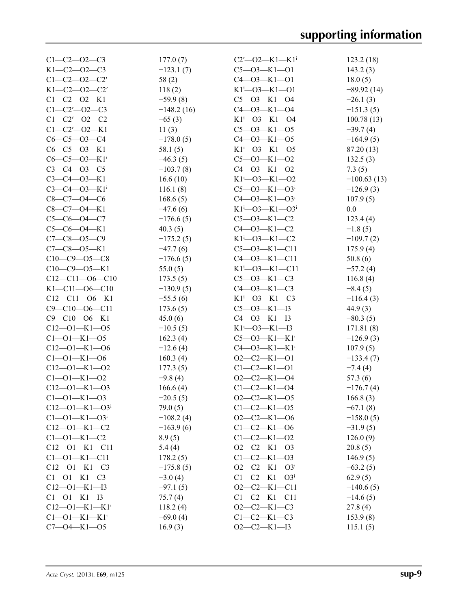| $C1 - C2 - 02 - C3$               | 177.0(7)     | $C2'$ - $O2$ - $K1$ - $K1$ <sup>i</sup> | 123.2(18)     |
|-----------------------------------|--------------|-----------------------------------------|---------------|
| $K1-C2-O2-C3$                     | $-123.1(7)$  | $C5 - 03 - K1 - 01$                     | 143.2(3)      |
| $C1 - C2 - 02 - C2'$              | 58(2)        | $C4 - 03 - K1 - 01$                     | 18.0(5)       |
| $K1 - C2 - 02 - C2'$              | 118(2)       | $K1^{i}$ -03- $K1$ -01                  | $-89.92(14)$  |
| $C1 - C2 - 02 - K1$               | $-59.9(8)$   | $C5 - 03 - K1 - 04$                     | $-26.1(3)$    |
| $C1 - C2' - 02 - C3$              | $-148.2(16)$ | $C4 - 03 - K1 - 04$                     | $-151.3(5)$   |
| $C1 - C2' - 02 - C2$              | $-65(3)$     | $K1 - O3 - K1 - O4$                     | 100.78(13)    |
| $C1 - C2' - 02 - K1$              | 11(3)        | $C5 - 03 - K1 - 05$                     | $-39.7(4)$    |
| $C6 - C5 - O3 - C4$               | $-178.0(5)$  | $C4 - 03 - K1 - 05$                     | $-164.9(5)$   |
| $C6-C5-O3-K1$                     | 58.1(5)      | $K1$ <sup>i</sup> -03-K1-05             | 87.20 (13)    |
| $C6-C5-O3-K1$ <sup>i</sup>        | $-46.3(5)$   | $C5 - O3 - K1 - O2$                     | 132.5(3)      |
| $C3 - C4 - 03 - C5$               | $-103.7(8)$  | $C4 - 03 - K1 - 02$                     | 7.3(5)        |
| $C3 - C4 - 03 - K1$               | 16.6(10)     | $K1^{i}$ -03- $K1$ -02                  | $-100.63(13)$ |
| $C3 - C4 - 03 - K1$               | 116.1(8)     | $C5 - O3 - K1 - O3$ <sup>i</sup>        | $-126.9(3)$   |
| $C8-C7-O4-C6$                     | 168.6(5)     | $C4 - 03 - K1 - 03$                     | 107.9(5)      |
| $C8-C7-O4-K1$                     | $-47.6(6)$   | $K1^{i}$ - 03 - $K1$ - 03 <sup>i</sup>  | 0.0           |
| $C5-C6-O4-C7$                     | $-176.6(5)$  | $C5 - O3 - K1 - C2$                     | 123.4(4)      |
| $C5-C6-O4-K1$                     | 40.3(5)      | $C4 - 03 - K1 - C2$                     | $-1.8(5)$     |
| $C7 - C8 - 05 - C9$               | $-175.2(5)$  | $K1 - O3 - K1 - C2$                     | $-109.7(2)$   |
| $C7 - C8 - 05 - K1$               | $-47.7(6)$   | $C5 - 03 - K1 - C11$                    | 175.9(4)      |
| $C10-C9 - 05-C8$                  | $-176.6(5)$  | $C4 - 03 - K1 - C11$                    | 50.8(6)       |
| $C10-C9$ - $O5$ - K1              | 55.0 $(5)$   | $K1^{i}$ - 03 - $K1$ - $C11$            | $-57.2(4)$    |
| $C12-C11-06-C10$                  | 173.5(5)     | $C5 - 03 - K1 - C3$                     | 116.8(4)      |
| $K1 - C11 - 06 - C10$             | $-130.9(5)$  | $C4 - 03 - K1 - C3$                     | $-8.4(5)$     |
| $C12-C11-O6-K1$                   | $-55.5(6)$   | $K1^{i}$ -03- $K1$ -C3                  | $-116.4(3)$   |
| $C9 - C10 - 06 - C11$             | 173.6(5)     | $C5 - O3 - K1 - I3$                     | 44.9(3)       |
| $C9 - C10 - 06 - K1$              | 45.0(6)      | $C4 - 03 - K1 - 13$                     | $-80.3(5)$    |
| $C12 - 01 - K1 - 05$              | $-10.5(5)$   | $K1^{i}$ - 03 - $K1$ - 13               | 171.81(8)     |
| $C1 - 01 - K1 - 05$               | 162.3(4)     | $C5 - O3 - K1 - K1$ <sup>i</sup>        | $-126.9(3)$   |
| $C12 - 01 - K1 - 06$              | $-12.6(4)$   | $C4 - 03 - K1 - K1$                     | 107.9(5)      |
| $C1 - 01 - K1 - 06$               | 160.3(4)     | $O2-C2-K1-O1$                           | $-133.4(7)$   |
| $C12 - 01 - K1 - 02$              | 177.3(5)     | $C1 - C2 - K1 - 01$                     | $-7.4(4)$     |
| $C1 - 01 - K1 - 02$               | $-9.8(4)$    | $O2-C2-K1-O4$                           | 57.3(6)       |
| $C12 - 01 - K1 - 03$              | 166.6(4)     | $C1 - C2 - K1 - 04$                     | $-176.7(4)$   |
| $C1 - 01 - K1 - 03$               | $-20.5(5)$   | $O2-C2-K1-O5$                           | 166.8(3)      |
| $C12 - 01 - K1 - 03$              | 79.0(5)      | $C1 - C2 - K1 - 05$                     | $-67.1(8)$    |
| $C1 - 01 - K1 - 03$               | $-108.2(4)$  | $O2-C2-K1-O6$                           | $-158.0(5)$   |
| $C12 - 01 - K1 - C2$              | $-163.9(6)$  | $C1 - C2 - K1 - 06$                     | $-31.9(5)$    |
| $C1 - 01 - K1 - C2$               | 8.9(5)       | $C1 - C2 - K1 - 02$                     | 126.0(9)      |
| $C12 - 01 - K1 - C11$             | 5.4(4)       | $O2-C2-K1-O3$                           | 20.8(5)       |
| $C1 - 01 - K1 - C11$              | 178.2(5)     | $C1 - C2 - K1 - 03$                     | 146.9(5)      |
| $C12 - 01 - K1 - C3$              | $-175.8(5)$  | $O2-C2-K1-O3$                           | $-63.2(5)$    |
| $C1 - 01 - K1 - C3$               | $-3.0(4)$    | $C1 - C2 - K1 - 03$                     | 62.9(5)       |
| $C12 - 01 - K1 - I3$              | $-97.1(5)$   | $O2-C2-K1-C11$                          | $-140.6(5)$   |
| $C1 - 01 - K1 - I3$               | 75.7(4)      | $C1-C2-K1-C11$                          | $-14.6(5)$    |
| $C12 - 01 - K1 - K1$ <sup>i</sup> | 118.2(4)     | $O2-C2-K1-C3$                           | 27.8(4)       |
| $C1 - 01 - K1 - K1$ <sup>i</sup>  | $-69.0(4)$   | $C1-C2-K1-C3$                           | 153.9(8)      |
| $C7 - 04 - K1 - 05$               | 16.9(3)      | $O2-C2-K1-I3$                           | 115.1(5)      |
|                                   |              |                                         |               |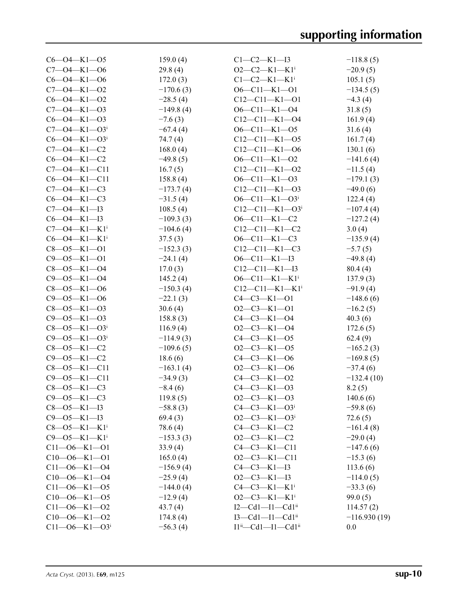| $C6 - O4 - K1 - O5$              | 159.0(4)    | $C1-C2-K1-I3$                              | $-118.8(5)$    |
|----------------------------------|-------------|--------------------------------------------|----------------|
| $C7 - 04 - K1 - 06$              | 29.8(4)     | $O2-C2-K1-K1$ <sup>i</sup>                 | $-20.9(5)$     |
| $C6 - O4 - K1 - O6$              | 172.0(3)    | $C1 - C2 - K1 - K1$ <sup>i</sup>           | 105.1(5)       |
| $C7 - 04 - K1 - 02$              | $-170.6(3)$ | $O6 - C11 - K1 - O1$                       | $-134.5(5)$    |
| $C6 - O4 - K1 - O2$              | $-28.5(4)$  | $C12-C11-K1-O1$                            | $-4.3(4)$      |
| $C7 - 04 - K1 - 03$              | $-149.8(4)$ | $O6 - Cl1 - K1 - O4$                       | 31.8(5)        |
| $C6 - O4 - K1 - O3$              | $-7.6(3)$   | $C12-C11-K1-04$                            | 161.9(4)       |
| $C7 - O4 - K1 - O3$              | $-67.4(4)$  | $O6 - Cl1 - K1 - O5$                       | 31.6(4)        |
| $C6 - O4 - K1 - O3$              | 74.7(4)     | $C12-C11-K1-05$                            | 161.7(4)       |
| $C7 - 04 - K1 - C2$              | 168.0(4)    | $C12-C11-K1-06$                            | 130.1(6)       |
| $C6 - O4 - K1 - C2$              | $-49.8(5)$  | $O6 - Cl1 - K1 - O2$                       | $-141.6(4)$    |
| $C7 - 04 - K1 - C11$             | 16.7(5)     | $C12-C11-K1-O2$                            | $-11.5(4)$     |
| $C6 - O4 - K1 - C11$             | 158.8(4)    | $O6 - Cl1 - K1 - O3$                       | $-179.1(3)$    |
| $C7 - 04 - K1 - C3$              | $-173.7(4)$ | $C12-C11-K1-03$                            | $-49.0(6)$     |
| $C6 - O4 - K1 - C3$              | $-31.5(4)$  | $O6 - Cl1 - K1 - O3$ <sup>i</sup>          | 122.4(4)       |
| $C7 - 04 - K1 - I3$              | 108.5(4)    | $C12-C11-K1-O3i$                           | $-107.4(4)$    |
| $C6 - O4 - K1 - I3$              | $-109.3(3)$ | $O6 - Cl1 - K1 - C2$                       | $-127.2(4)$    |
| $C7 - 04 - K1 - K1$ <sup>i</sup> | $-104.6(4)$ | $C12-C11-K1-C2$                            | 3.0(4)         |
| $C6 - O4 - K1 - K1$ <sup>i</sup> | 37.5(3)     | $O6 - Cl1 - K1 - C3$                       | $-135.9(4)$    |
| $C8 - 05 - K1 - 01$              | $-152.3(3)$ | $C12-C11-K1-C3$                            | $-5.7(5)$      |
| $C9 - 05 - K1 - 01$              | $-24.1(4)$  | $O6 - Cl1 - K1 - I3$                       | $-49.8(4)$     |
| $C8 - 05 - K1 - 04$              | 17.0(3)     | $C12-C11-K1-I3$                            | 80.4(4)        |
| $C9 - 05 - K1 - 04$              | 145.2(4)    | $O6 - C11 - K1 - K1$ <sup>i</sup>          | 137.9(3)       |
| $C8 - 05 - K1 - 06$              | $-150.3(4)$ | $C12-C11-K1-K1$ <sup>i</sup>               | $-91.9(4)$     |
| $C9 - 05 - K1 - 06$              | $-22.1(3)$  | $C4 - C3 - K1 - 01$                        | $-148.6(6)$    |
| $C8 - 05 - K1 - 03$              | 30.6(4)     | $O2-C3-K1-O1$                              | $-16.2(5)$     |
| $C9 - 05 - K1 - 03$              | 158.8(3)    | $C4 - C3 - K1 - O4$                        | 40.3(6)        |
| $C8 - 05 - K1 - 03$              | 116.9(4)    | $O2-C3-K1-O4$                              | 172.6(5)       |
| $C9 - 05 - K1 - 03$              | $-114.9(3)$ | $C4 - C3 - K1 - 05$                        | 62.4(9)        |
| $C8 - 05 - K1 - C2$              | $-109.6(5)$ | $O2-C3-K1-05$                              | $-165.2(3)$    |
| $C9 - 05 - K1 - C2$              | 18.6(6)     | $C4-C3-K1-06$                              | $-169.8(5)$    |
| $C8 - 05 - K1 - C11$             | $-163.1(4)$ | $O2-C3-K1-06$                              | $-37.4(6)$     |
| $C9 - 05 - K1 - C11$             | $-34.9(3)$  | $C4 - C3 - K1 - 02$                        | $-132.4(10)$   |
| $C8 - 05 - K1 - C3$              | $-8.4(6)$   | $C4 - C3 - K1 - 03$                        | 8.2(5)         |
| $C9 - 05 - K1 - C3$              | 119.8(5)    | $O2-C3-K1-O3$                              | 140.6(6)       |
| $C8 - 05 - K1 - 13$              | $-58.8(3)$  | $C4 - C3 - K1 - O3$                        | $-59.8(6)$     |
| $C9 - 05 - K1 - I3$              | 69.4(3)     | $O2-C3-K1-O3i$                             | 72.6(5)        |
| $C8 - 05 - K1 - K1$ <sup>i</sup> | 78.6 (4)    | $C4-C3-K1-C2$                              | $-161.4(8)$    |
| $C9 - 05 - K1 - K1$ <sup>i</sup> | $-153.3(3)$ | $O2-C3-K1-C2$                              | $-29.0(4)$     |
| $C11 - 06 - K1 - 01$             | 33.9(4)     | $C4-C3-K1-C11$                             | $-147.6(6)$    |
| $C10 - 06 - K1 - 01$             | 165.0(4)    | $O2-C3-K1-C11$                             | $-15.3(6)$     |
| $C11 - 06 - K1 - 04$             | $-156.9(4)$ | $C4 - C3 - K1 - I3$                        | 113.6(6)       |
| $C10 - 06 - K1 - 04$             | $-25.9(4)$  | $O2-C3-K1-I3$                              | $-114.0(5)$    |
| $C11 - 06 - K1 - 05$             | $-144.0(4)$ | $C4-C3-K1-K1$ <sup>i</sup>                 | $-33.3(6)$     |
| $C10 - 06 - K1 - 05$             | $-12.9(4)$  | $O2-C3-K1-K1$ <sup>i</sup>                 | 99.0(5)        |
| $C11 - 06 - K1 - 02$             | 43.7(4)     | $I2 - Cd1 - I1 - Cd1ii$                    | 114.57(2)      |
| $C10 - 06 - K1 - 02$             | 174.8(4)    | $I3 - Cd1 - I1 - Cd1ii$                    | $-116.930(19)$ |
| $C11 - 06 - K1 - 03$             | $-56.3(4)$  | $I1^{ii}$ - Cd1 - $I1$ - Cd1 <sup>ii</sup> | 0.0            |
|                                  |             |                                            |                |